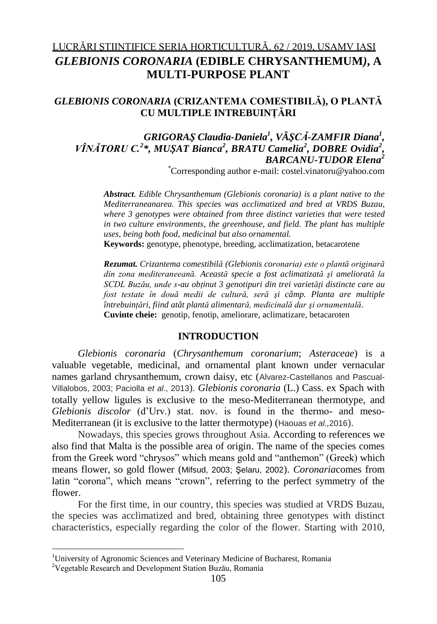# LUCRĂRI ŞTIINŢIFICE SERIA HORTICULTURĂ, 62 / 2019, USAMV IAŞI *GLEBIONIS CORONARIA* **(EDIBLE CHRYSANTHEMUM***)***, A MULTI-PURPOSE PLANT**

# *GLEBIONIS CORONARIA* **(CRIZANTEMA COMESTIBILĂ), O PLANTĂ CU MULTIPLE INTREBUINŢĂRI**

## *GRIGORAŞ Claudia-Daniela<sup>1</sup> , VÂŞCĂ-ZAMFIR Diana<sup>1</sup> , VÎNĂTORU C.<sup>2</sup> \*, MUŞAT Bianca<sup>2</sup> , BRATU Camelia<sup>2</sup> , DOBRE Ovidia<sup>2</sup> , BARCANU-TUDOR Elena<sup>2</sup>*

*\**Corresponding author e-mail: [costel.vinatoru@yahoo.com](mailto:costel.vinatoru@yahoo.com)

*Abstract. Edible Chrysanthemum (Glebionis coronaria) is a plant native to the Mediterraneanarea. This species was acclimatized and bred at VRDS Buzau, where 3 genotypes were obtained from three distinct varieties that were tested in two culture environments, the greenhouse, and field. The plant has multiple uses, being both food, medicinal but also ornamental.*

**Keywords:** genotype, phenotype, breeding, acclimatization, betacarotene

*Rezumat. Crizantema comestibilă (Glebionis coronaria) este o plantă originară din zona mediteraneeană. Această specie a fost aclimatizată şi ameliorată la SCDL Buzău, unde s-au obţinut 3 genotipuri din trei varietăţi distincte care au fost testate în două medii de cultură, seră şi câmp. Planta are multiple întrebuinţări, fiind atât plantă alimentară, medicinală dar şi ornamentală.* **Cuvinte cheie:** genotip, fenotip, ameliorare, aclimatizare, betacaroten

### **INTRODUCTION**

*Glebionis coronaria* (*Chrysanthemum coronarium*; *Asteraceae*) is a valuable vegetable, medicinal, and ornamental plant known under vernacular names garland chrysanthemum, crown daisy, etc (Alvarez-Castellanos and Pascual-Villalobos, 2003; Paciolla *et al*., 2013). *Glebionis coronaria* (L.) Cass. ex Spach with totally yellow ligules is exclusive to the meso-Mediterranean thermotype, and *Glebionis discolor* (d'Urv.) stat. nov. is found in the thermo- and meso-Mediterranean (it is exclusive to the latter thermotype) (Haouas *et al.,*2016).

Nowadays, this species grows throughout Asia. According to references we also find that Malta is the possible area of origin. The name of the species comes from the Greek word "chrysos" which means gold and "anthemon" (Greek) which means flower, so gold flower (Mifsud, 2003; Şelaru, 2002). *Coronaria*comes from latin "corona", which means "crown", referring to the perfect symmetry of the flower.

For the first time, in our country, this species was studied at VRDS Buzau, the species was acclimatized and bred, obtaining three genotypes with distinct characteristics, especially regarding the color of the flower. Starting with 2010,

1

<sup>&</sup>lt;sup>1</sup>University of Agronomic Sciences and Veterinary Medicine of Bucharest, Romania

<sup>2</sup>Vegetable Research and Development Station Buzău, Romania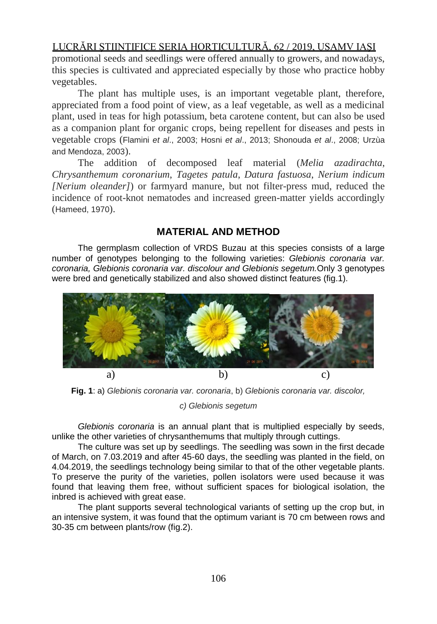### LUCRĂRI ŞTIINŢIFICE SERIA HORTICULTURĂ, 62 / 2019, USAMV IAŞI

promotional seeds and seedlings were offered annually to growers, and nowadays, this species is cultivated and appreciated especially by those who practice hobby vegetables.

The plant has multiple uses, is an important vegetable plant, therefore, appreciated from a food point of view, as a leaf vegetable, as well as a medicinal plant, used in teas for high potassium, beta carotene content, but can also be used as a companion plant for organic crops, being repellent for diseases and pests in vegetable crops (Flamini *et al*., 2003; Hosni *et al*., 2013; Shonouda *et al*., 2008; Urzùa and Mendoza, 2003).

The addition of decomposed leaf material (*Melia azadirachta*, *Chrysanthemum coronarium*, *Tagetes patula*, *Datura fastuosa*, *Nerium indicum [Nerium oleander]*) or farmyard manure, but not filter-press mud, reduced the incidence of root-knot nematodes and increased green-matter yields accordingly (Hameed, 1970).

### **MATERIAL AND METHOD**

The germplasm collection of VRDS Buzau at this species consists of a large number of genotypes belonging to the following varieties: *Glebionis coronaria var. coronaria, Glebionis coronaria var. discolour and Glebionis segetum.*Only 3 genotypes were bred and genetically stabilized and also showed distinct features (fig.1)*.*



**Fig. 1**: a) *Glebionis coronaria var. coronaria*, b) *Glebionis coronaria var. discolor,* 

*c) Glebionis segetum*

*Glebionis coronaria* is an annual plant that is multiplied especially by seeds, unlike the other varieties of chrysanthemums that multiply through cuttings.

The culture was set up by seedlings. The seedling was sown in the first decade of March, on 7.03.2019 and after 45-60 days, the seedling was planted in the field, on 4.04.2019, the seedlings technology being similar to that of the other vegetable plants. To preserve the purity of the varieties, pollen isolators were used because it was found that leaving them free, without sufficient spaces for biological isolation, the inbred is achieved with great ease.

The plant supports several technological variants of setting up the crop but, in an intensive system, it was found that the optimum variant is 70 cm between rows and 30-35 cm between plants/row (fig.2).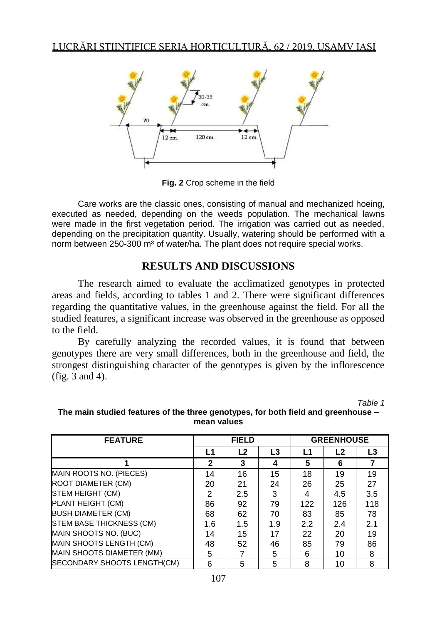

**Fig. 2** Crop scheme in the field

Care works are the classic ones, consisting of manual and mechanized hoeing, executed as needed, depending on the weeds population. The mechanical lawns were made in the first vegetation period. The irrigation was carried out as needed, depending on the precipitation quantity. Usually, watering should be performed with a norm between 250-300 m<sup>3</sup> of water/ha. The plant does not require special works.

# **RESULTS AND DISCUSSIONS**

The research aimed to evaluate the acclimatized genotypes in protected areas and fields, according to tables 1 and 2. There were significant differences regarding the quantitative values, in the greenhouse against the field. For all the studied features, a significant increase was observed in the greenhouse as opposed to the field.

By carefully analyzing the recorded values, it is found that between genotypes there are very small differences, both in the greenhouse and field, the strongest distinguishing character of the genotypes is given by the inflorescence (fig. 3 and 4).

*Table 1*

| <b>FEATURE</b>                  | <b>FIELD</b> |                |     | <b>GREENHOUSE</b> |                |     |
|---------------------------------|--------------|----------------|-----|-------------------|----------------|-----|
|                                 | L1           | L <sub>2</sub> | L3  | L1                | L <sub>2</sub> | L3  |
|                                 | 2            | 3              | 4   | 5                 | 6              |     |
| MAIN ROOTS NO. (PIECES)         | 14           | 16             | 15  | 18                | 19             | 19  |
| <b>ROOT DIAMETER (CM)</b>       | 20           | 21             | 24  | 26                | 25             | 27  |
| STEM HEIGHT (CM)                | 2            | 2.5            | 3   | 4                 | 4.5            | 3.5 |
| PLANT HEIGHT (CM)               | 86           | 92             | 79  | 122               | 126            | 118 |
| <b>BUSH DIAMETER (CM)</b>       | 68           | 62             | 70  | 83                | 85             | 78  |
| <b>STEM BASE THICKNESS (CM)</b> | 1.6          | 1.5            | 1.9 | 2.2               | 2.4            | 2.1 |
| MAIN SHOOTS NO. (BUC)           | 14           | 15             | 17  | 22                | 20             | 19  |
| MAIN SHOOTS LENGTH (CM)         | 48           | 52             | 46  | 85                | 79             | 86  |
| MAIN SHOOTS DIAMETER (MM)       | 5            |                | 5   | 6                 | 10             | 8   |
| SECONDARY SHOOTS LENGTH(CM)     | 6            | 5              | 5   | 8                 | 10             | 8   |

#### **The main studied features of the three genotypes, for both field and greenhouse – mean values**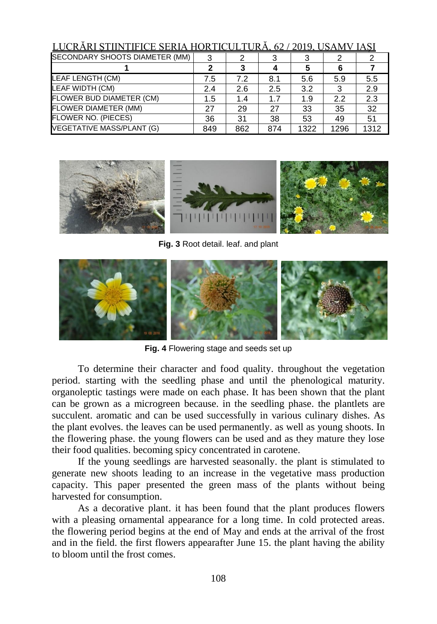| LUCRĂRI STIINTIFICE SERIA HORTICULTURĂ, 62 / 2019, USAMV IAȘI |     |     |     |      |      |      |
|---------------------------------------------------------------|-----|-----|-----|------|------|------|
| SECONDARY SHOOTS DIAMETER (MM)                                |     |     |     |      |      |      |
|                                                               |     |     |     |      | 6    |      |
| LEAF LENGTH (CM)                                              | 7.5 | 7.2 | 8.1 | 5.6  | 5.9  | 5.5  |
| <b>LEAF WIDTH (CM)</b>                                        | 2.4 | 2.6 | 2.5 | 3.2  | 3    | 2.9  |
| FLOWER BUD DIAMETER (CM)                                      | 1.5 | 1.4 | 1.7 | 1.9  | 2.2  | 2.3  |
| <b>FLOWER DIAMETER (MM)</b>                                   | 27  | 29  | 27  | 33   | 35   | 32   |
| FLOWER NO. (PIECES)                                           | 36  | 31  | 38  | 53   | 49   | 51   |
| <b>VEGETATIVE MASS/PLANT (G)</b>                              | 849 | 862 | 874 | 1322 | 1296 | 1312 |



**Fig. 3** Root detail. leaf. and plant



**Fig. 4** Flowering stage and seeds set up

To determine their character and food quality. throughout the vegetation period. starting with the seedling phase and until the phenological maturity. organoleptic tastings were made on each phase. It has been shown that the plant can be grown as a microgreen because. in the seedling phase. the plantlets are succulent. aromatic and can be used successfully in various culinary dishes. As the plant evolves. the leaves can be used permanently. as well as young shoots. In the flowering phase. the young flowers can be used and as they mature they lose their food qualities. becoming spicy concentrated in carotene.

If the young seedlings are harvested seasonally. the plant is stimulated to generate new shoots leading to an increase in the vegetative mass production capacity. This paper presented the green mass of the plants without being harvested for consumption.

As a decorative plant. it has been found that the plant produces flowers with a pleasing ornamental appearance for a long time. In cold protected areas. the flowering period begins at the end of May and ends at the arrival of the frost and in the field. the first flowers appearafter June 15. the plant having the ability to bloom until the frost comes.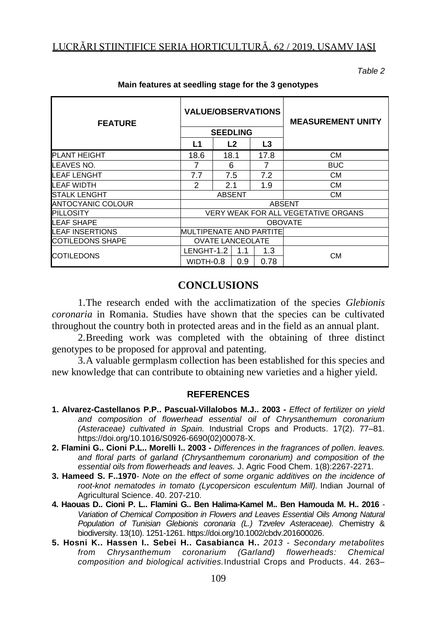*Table 2*

| <b>FEATURE</b>          | <b>VALUE/OBSERVATIONS</b>           |      |                |      | <b>MEASUREMENT UNITY</b> |  |
|-------------------------|-------------------------------------|------|----------------|------|--------------------------|--|
|                         | <b>SEEDLING</b>                     |      |                |      |                          |  |
|                         | L1                                  |      | L <sub>2</sub> | L3   |                          |  |
| <b>PLANT HEIGHT</b>     | 18.6                                | 18.1 |                | 17.8 | <b>CM</b>                |  |
| LEAVES NO.              | 7                                   |      | 6              |      | <b>BUC</b>               |  |
| LEAF LENGHT             | 7.7                                 |      | 7.5            | 7.2  | <b>CM</b>                |  |
| LEAF WIDTH              | 2                                   | 2.1  |                | 1.9  | СM                       |  |
| <b>STALK LENGHT</b>     | <b>ABSENT</b>                       |      |                |      | СM                       |  |
| ANTOCYANIC COLOUR       | <b>ABSENT</b>                       |      |                |      |                          |  |
| <b>PILLOSITY</b>        | VERY WEAK FOR ALL VEGETATIVE ORGANS |      |                |      |                          |  |
| LEAF SHAPE              | <b>OBOVATE</b>                      |      |                |      |                          |  |
| LEAF INSERTIONS         | <b>MULTIPENATE AND PARTITE</b>      |      |                |      |                          |  |
| <b>COTILEDONS SHAPE</b> | <b>OVATE LANCEOLATE</b>             |      |                |      |                          |  |
| <b>COTILEDONS</b>       | LENGHT-1.2                          |      | 1.1            | 1.3  | CМ                       |  |
|                         | WIDTH-0.8                           |      | 0.9            | 0.78 |                          |  |

#### **Main features at seedling stage for the 3 genotypes**

### **CONCLUSIONS**

1.The research ended with the acclimatization of the species *Glebionis coronaria* in Romania. Studies have shown that the species can be cultivated throughout the country both in protected areas and in the field as an annual plant.

2.Breeding work was completed with the obtaining of three distinct genotypes to be proposed for approval and patenting.

3.A valuable germplasm collection has been established for this species and new knowledge that can contribute to obtaining new varieties and a higher yield.

#### **REFERENCES**

- **1. Alvarez-Castellanos P.P.. Pascual-Villalobos M.J.. 2003 -** *Effect of fertilizer on yield and composition of flowerhead essential oil of Chrysanthemum coronarium (Asteraceae) cultivated in Spain.* Industrial Crops and Products. 17(2). 77–81. [https://doi.org/10.1016/S0926-6690\(02\)00078-X.](https://doi.org/10.1016/S0926-6690(02)00078-X)
- **2. [Flamini G.](https://www.ncbi.nlm.nih.gov/pubmed/?term=Flamini%20G%5BAuthor%5D&cauthor=true&cauthor_uid=12670168). [Cioni P.L.](https://www.ncbi.nlm.nih.gov/pubmed/?term=Cioni%20PL%5BAuthor%5D&cauthor=true&cauthor_uid=12670168). [Morelli I.](https://www.ncbi.nlm.nih.gov/pubmed/?term=Morelli%20I%5BAuthor%5D&cauthor=true&cauthor_uid=12670168). 2003 -** *Differences in the fragrances of pollen. leaves. and floral parts of garland (Chrysanthemum coronarium) and composition of the essential oils from flowerheads and leaves.* [J. Agric Food Chem.](https://www.ncbi.nlm.nih.gov/pubmed/12670168) 1(8):2267-2271.
- **3. Hameed S. F..1970***- Note on the effect of some organic additives on the incidence of root-knot nematodes in tomato (Lycopersicon esculentum Mill).* Indian Journal of Agricultural Science. 40. 207-210.
- **4. Haouas D.. Cioni P. L.. Flamini G.. Ben Halima-Kamel M.. Ben Hamouda M. H.. 2016** *- Variation of Chemical Composition in Flowers and Leaves Essential Oils Among Natural Population of Tunisian Glebionis coronaria (L.) Tzvelev Asteraceae). C*hemistry & biodiversity. 13(10). 1251-1261. [https://doi.org/10.1002/cbdv.201600026.](https://doi.org/10.1002/cbdv.201600026)
- **5. Hosni K.. Hassen I.. Sebei H.. Casabianca H..** *2013 - Secondary metabolites from Chrysanthemum coronarium (Garland) flowerheads: Chemical composition and biological activities.*Industrial Crops and Products. 44. 263–